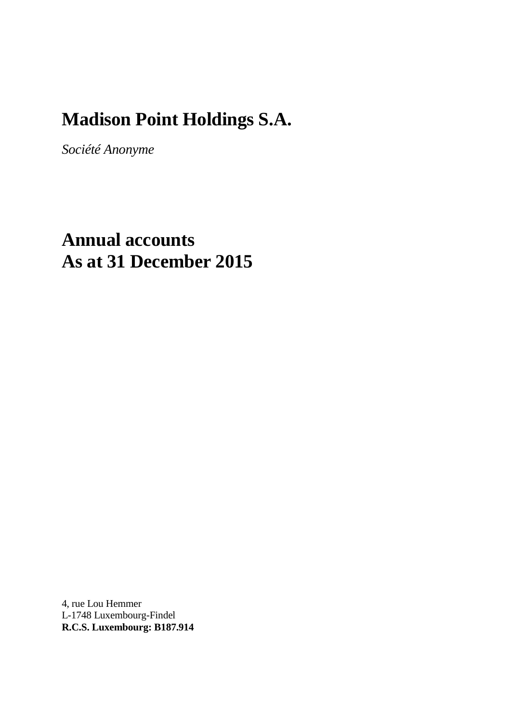# **Madison Point Holdings S.A.**

*Société Anonyme*

# **Annual accounts As at 31 December 2015**

4, rue Lou Hemmer L-1748 Luxembourg-Findel **R.C.S. Luxembourg: B187.914**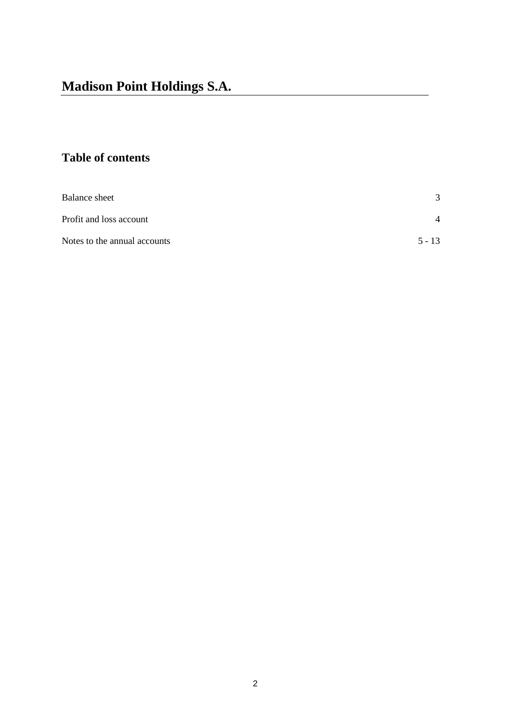# **Table of contents**

| Balance sheet                | 3        |
|------------------------------|----------|
| Profit and loss account      | 4        |
| Notes to the annual accounts | $5 - 13$ |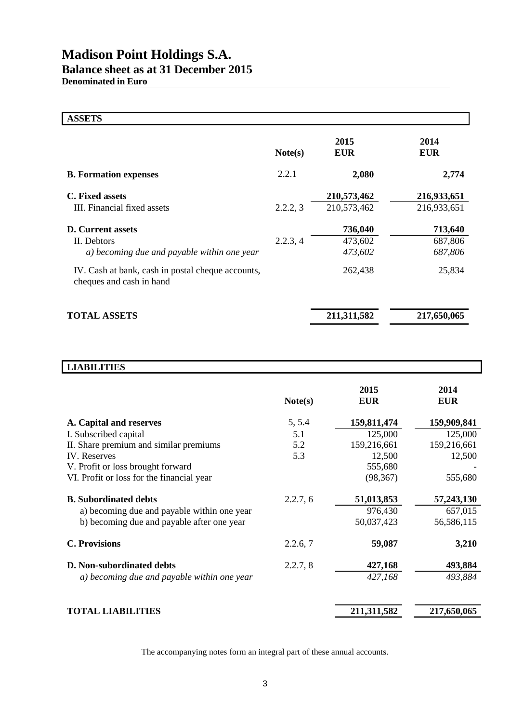| <b>ASSETS</b>                                                                 |          |                    |                    |
|-------------------------------------------------------------------------------|----------|--------------------|--------------------|
|                                                                               | Note(s)  | 2015<br><b>EUR</b> | 2014<br><b>EUR</b> |
| <b>B.</b> Formation expenses                                                  | 2.2.1    | 2,080              | 2,774              |
| <b>C.</b> Fixed assets                                                        |          | 210,573,462        | 216,933,651        |
| III. Financial fixed assets                                                   | 2.2.2, 3 | 210,573,462        | 216,933,651        |
| <b>D.</b> Current assets                                                      |          | 736,040            | 713,640            |
| II. Debtors                                                                   | 2.2.3, 4 | 473,602            | 687,806            |
| a) becoming due and payable within one year                                   |          | 473,602            | 687,806            |
| IV. Cash at bank, cash in postal cheque accounts,<br>cheques and cash in hand |          | 262,438            | 25,834             |
| <b>TOTAL ASSETS</b>                                                           |          | 211,311,582        | 217,650,065        |

| <b>LIABILITIES</b>                          |          |                    |                    |
|---------------------------------------------|----------|--------------------|--------------------|
|                                             | Note(s)  | 2015<br><b>EUR</b> | 2014<br><b>EUR</b> |
| A. Capital and reserves                     | 5, 5.4   | 159,811,474        | 159,909,841        |
| I. Subscribed capital                       | 5.1      | 125,000            | 125,000            |
| II. Share premium and similar premiums      | 5.2      | 159,216,661        | 159,216,661        |
| <b>IV.</b> Reserves                         | 5.3      | 12,500             | 12,500             |
| V. Profit or loss brought forward           |          | 555,680            |                    |
| VI. Profit or loss for the financial year   |          | (98, 367)          | 555,680            |
| <b>B.</b> Subordinated debts                | 2.2.7, 6 | 51,013,853         | 57,243,130         |
| a) becoming due and payable within one year |          | 976,430            | 657,015            |
| b) becoming due and payable after one year  |          | 50,037,423         | 56,586,115         |
| <b>C. Provisions</b>                        | 2.2.6, 7 | 59,087             | 3,210              |
| D. Non-subordinated debts                   | 2.2.7, 8 | 427,168            | 493,884            |
| a) becoming due and payable within one year |          | 427,168            | 493,884            |
|                                             |          |                    |                    |
| <b>TOTAL LIABILITIES</b>                    |          | 211,311,582        | 217,650,065        |

The accompanying notes form an integral part of these annual accounts.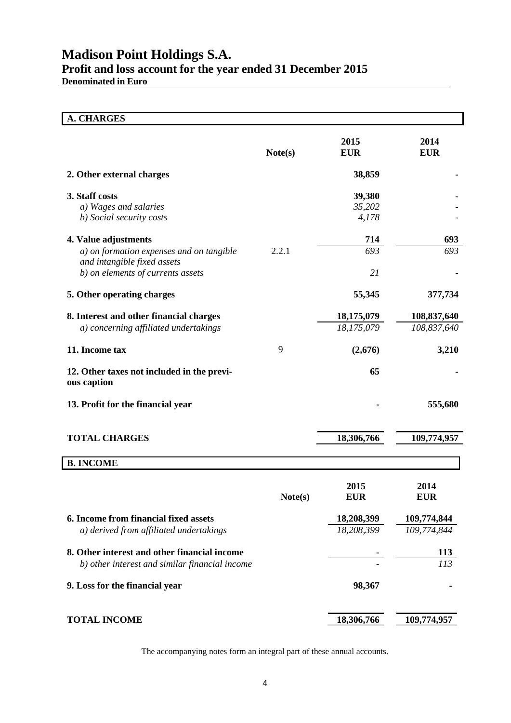# **Madison Point Holdings S.A. Profit and loss account for the year ended 31 December 2015**

**Denominated in Euro**

| <b>A. CHARGES</b>                                                                              |         |                           |                                |
|------------------------------------------------------------------------------------------------|---------|---------------------------|--------------------------------|
|                                                                                                | Note(s) | 2015<br><b>EUR</b>        | 2014<br><b>EUR</b>             |
| 2. Other external charges                                                                      |         | 38,859                    |                                |
| 3. Staff costs<br>a) Wages and salaries<br>b) Social security costs                            |         | 39,380<br>35,202<br>4,178 |                                |
| 4. Value adjustments                                                                           |         | 714                       | 693                            |
| a) on formation expenses and on tangible<br>and intangible fixed assets                        | 2.2.1   | 693                       | 693                            |
| b) on elements of currents assets                                                              |         | 21                        |                                |
| 5. Other operating charges                                                                     |         | 55,345                    | 377,734                        |
| 8. Interest and other financial charges                                                        |         | 18,175,079                | 108,837,640                    |
| a) concerning affiliated undertakings                                                          |         | 18,175,079                | 108,837,640                    |
| 11. Income tax                                                                                 | 9       | (2,676)                   | 3,210                          |
| 12. Other taxes not included in the previ-<br>ous caption                                      |         | 65                        |                                |
| 13. Profit for the financial year                                                              |         |                           | 555,680                        |
| <b>TOTAL CHARGES</b>                                                                           |         | 18,306,766                | 109,774,957                    |
| <b>B. INCOME</b>                                                                               |         |                           |                                |
|                                                                                                | Note(s) | 2015<br><b>EUR</b>        | 2014<br><b>EUR</b>             |
| 6. Income from financial fixed assets<br>a) derived from affiliated undertakings               |         | 18,208,399<br>18,208,399  | 109,774,844<br>109,774,844     |
| 8. Other interest and other financial income<br>b) other interest and similar financial income |         |                           | <b>113</b><br>$\overline{113}$ |
| 9. Loss for the financial year                                                                 |         | 98,367                    |                                |
| <b>TOTAL INCOME</b>                                                                            |         | 18,306,766                | 109,774,957                    |

The accompanying notes form an integral part of these annual accounts.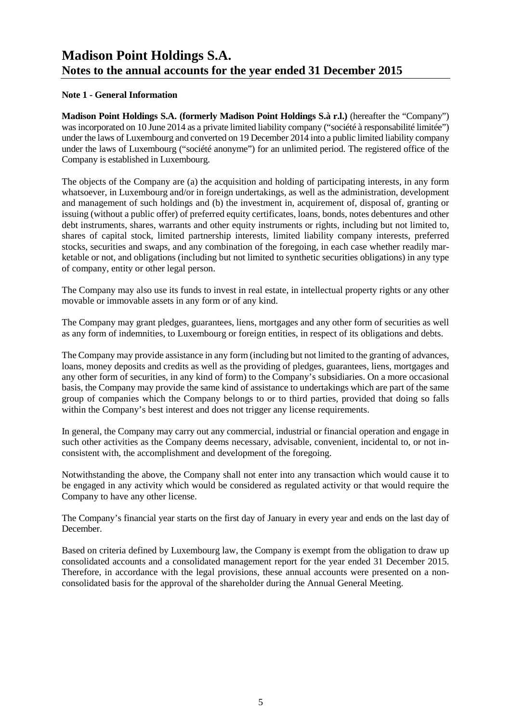#### **Note 1 - General Information**

**Madison Point Holdings S.A. (formerly Madison Point Holdings S.à r.l.)** (hereafter the "Company") was incorporated on 10 June 2014 as a private limited liability company ("société à responsabilité limitée") under the laws of Luxembourg and converted on 19 December 2014 into a public limited liability company under the laws of Luxembourg ("société anonyme") for an unlimited period. The registered office of the Company is established in Luxembourg.

The objects of the Company are (a) the acquisition and holding of participating interests, in any form whatsoever, in Luxembourg and/or in foreign undertakings, as well as the administration, development and management of such holdings and (b) the investment in, acquirement of, disposal of, granting or issuing (without a public offer) of preferred equity certificates, loans, bonds, notes debentures and other debt instruments, shares, warrants and other equity instruments or rights, including but not limited to, shares of capital stock, limited partnership interests, limited liability company interests, preferred stocks, securities and swaps, and any combination of the foregoing, in each case whether readily marketable or not, and obligations (including but not limited to synthetic securities obligations) in any type of company, entity or other legal person.

The Company may also use its funds to invest in real estate, in intellectual property rights or any other movable or immovable assets in any form or of any kind.

The Company may grant pledges, guarantees, liens, mortgages and any other form of securities as well as any form of indemnities, to Luxembourg or foreign entities, in respect of its obligations and debts.

The Company may provide assistance in any form (including but not limited to the granting of advances, loans, money deposits and credits as well as the providing of pledges, guarantees, liens, mortgages and any other form of securities, in any kind of form) to the Company's subsidiaries. On a more occasional basis, the Company may provide the same kind of assistance to undertakings which are part of the same group of companies which the Company belongs to or to third parties, provided that doing so falls within the Company's best interest and does not trigger any license requirements.

In general, the Company may carry out any commercial, industrial or financial operation and engage in such other activities as the Company deems necessary, advisable, convenient, incidental to, or not inconsistent with, the accomplishment and development of the foregoing.

Notwithstanding the above, the Company shall not enter into any transaction which would cause it to be engaged in any activity which would be considered as regulated activity or that would require the Company to have any other license.

The Company's financial year starts on the first day of January in every year and ends on the last day of December.

Based on criteria defined by Luxembourg law, the Company is exempt from the obligation to draw up consolidated accounts and a consolidated management report for the year ended 31 December 2015. Therefore, in accordance with the legal provisions, these annual accounts were presented on a nonconsolidated basis for the approval of the shareholder during the Annual General Meeting.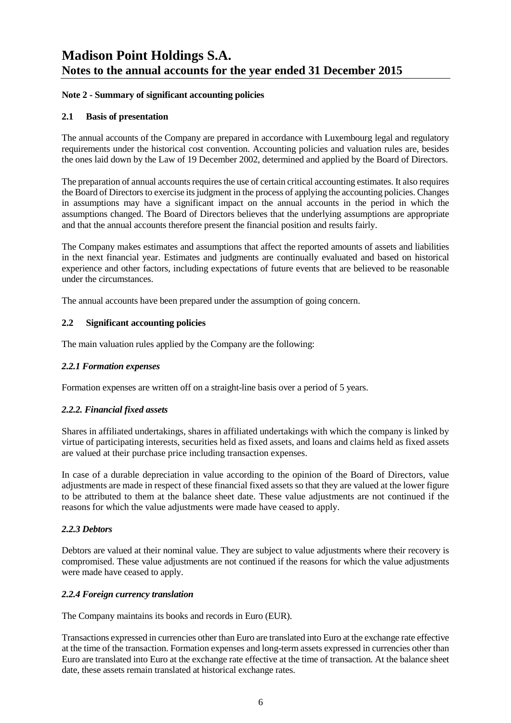#### **Note 2 - Summary of significant accounting policies**

#### **2.1 Basis of presentation**

The annual accounts of the Company are prepared in accordance with Luxembourg legal and regulatory requirements under the historical cost convention. Accounting policies and valuation rules are, besides the ones laid down by the Law of 19 December 2002, determined and applied by the Board of Directors.

The preparation of annual accounts requires the use of certain critical accounting estimates. It also requires the Board of Directors to exercise its judgment in the process of applying the accounting policies. Changes in assumptions may have a significant impact on the annual accounts in the period in which the assumptions changed. The Board of Directors believes that the underlying assumptions are appropriate and that the annual accounts therefore present the financial position and results fairly.

The Company makes estimates and assumptions that affect the reported amounts of assets and liabilities in the next financial year. Estimates and judgments are continually evaluated and based on historical experience and other factors, including expectations of future events that are believed to be reasonable under the circumstances.

The annual accounts have been prepared under the assumption of going concern.

#### **2.2 Significant accounting policies**

The main valuation rules applied by the Company are the following:

#### *2.2.1 Formation expenses*

Formation expenses are written off on a straight-line basis over a period of 5 years.

#### *2.2.2. Financial fixed assets*

Shares in affiliated undertakings, shares in affiliated undertakings with which the company is linked by virtue of participating interests, securities held as fixed assets, and loans and claims held as fixed assets are valued at their purchase price including transaction expenses.

In case of a durable depreciation in value according to the opinion of the Board of Directors, value adjustments are made in respect of these financial fixed assets so that they are valued at the lower figure to be attributed to them at the balance sheet date. These value adjustments are not continued if the reasons for which the value adjustments were made have ceased to apply.

#### *2.2.3 Debtors*

Debtors are valued at their nominal value. They are subject to value adjustments where their recovery is compromised. These value adjustments are not continued if the reasons for which the value adjustments were made have ceased to apply.

#### *2.2.4 Foreign currency translation*

The Company maintains its books and records in Euro (EUR).

Transactions expressed in currencies other than Euro are translated into Euro at the exchange rate effective at the time of the transaction. Formation expenses and long-term assets expressed in currencies other than Euro are translated into Euro at the exchange rate effective at the time of transaction. At the balance sheet date, these assets remain translated at historical exchange rates.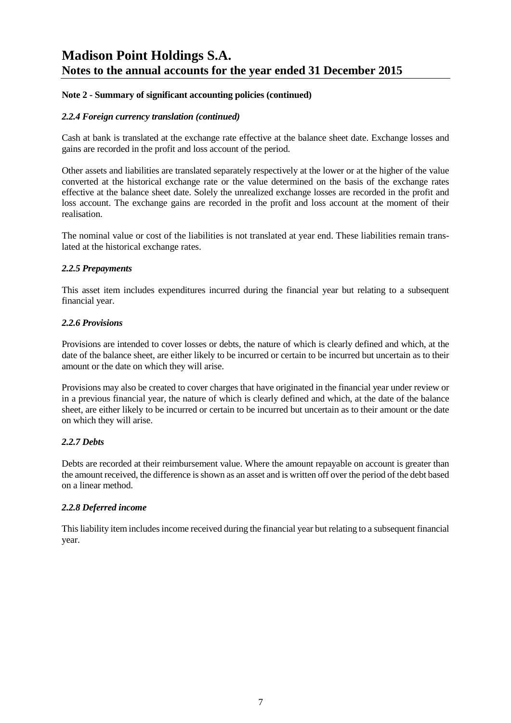#### **Note 2 - Summary of significant accounting policies (continued)**

#### *2.2.4 Foreign currency translation (continued)*

Cash at bank is translated at the exchange rate effective at the balance sheet date. Exchange losses and gains are recorded in the profit and loss account of the period.

Other assets and liabilities are translated separately respectively at the lower or at the higher of the value converted at the historical exchange rate or the value determined on the basis of the exchange rates effective at the balance sheet date. Solely the unrealized exchange losses are recorded in the profit and loss account. The exchange gains are recorded in the profit and loss account at the moment of their realisation.

The nominal value or cost of the liabilities is not translated at year end. These liabilities remain translated at the historical exchange rates.

#### *2.2.5 Prepayments*

This asset item includes expenditures incurred during the financial year but relating to a subsequent financial year.

#### *2.2.6 Provisions*

Provisions are intended to cover losses or debts, the nature of which is clearly defined and which, at the date of the balance sheet, are either likely to be incurred or certain to be incurred but uncertain as to their amount or the date on which they will arise.

Provisions may also be created to cover charges that have originated in the financial year under review or in a previous financial year, the nature of which is clearly defined and which, at the date of the balance sheet, are either likely to be incurred or certain to be incurred but uncertain as to their amount or the date on which they will arise.

#### *2.2.7 Debts*

Debts are recorded at their reimbursement value. Where the amount repayable on account is greater than the amount received, the difference is shown as an asset and is written off over the period of the debt based on a linear method.

#### *2.2.8 Deferred income*

This liability item includes income received during the financial year but relating to a subsequent financial year.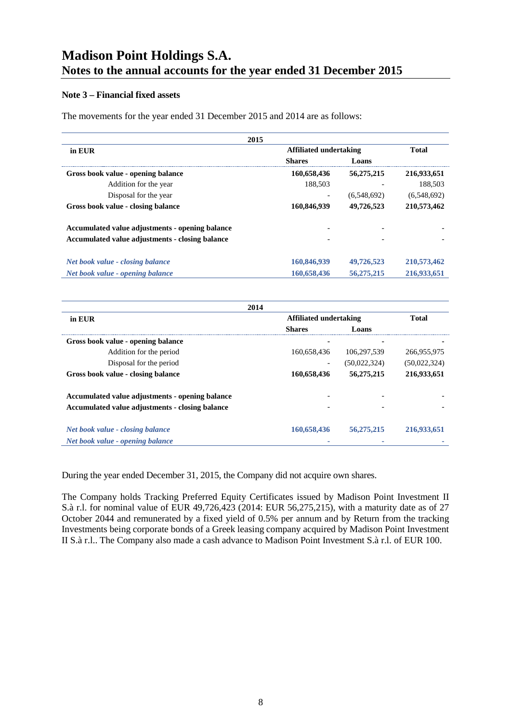#### **Note 3 – Financial fixed assets**

The movements for the year ended 31 December 2015 and 2014 are as follows:

| 2015                                            |                          |             |              |
|-------------------------------------------------|--------------------------|-------------|--------------|
| in EUR                                          | Affiliated undertaking   |             | <b>Total</b> |
|                                                 | <b>Shares</b>            | Loans       |              |
| Gross book value - opening balance              | 160,658,436              | 56,275,215  | 216,933,651  |
| Addition for the year                           | 188.503                  |             | 188.503      |
| Disposal for the year                           | $\overline{\phantom{a}}$ | (6,548,692) | (6,548,692)  |
| Gross book value - closing balance              | 160,846,939              | 49,726,523  | 210,573,462  |
| Accumulated value adjustments - opening balance |                          |             |              |
| Accumulated value adjustments - closing balance |                          |             |              |
| Net book value - closing balance                | 160,846,939              | 49,726,523  | 210,573,462  |
| Net book value - opening balance                | 160,658,436              | 56,275,215  | 216,933,651  |

| 2014                                            |                               |              |              |
|-------------------------------------------------|-------------------------------|--------------|--------------|
| in EUR                                          | <b>Affiliated undertaking</b> | <b>Total</b> |              |
|                                                 | <b>Shares</b>                 | Loans        |              |
| Gross book value - opening balance              | ٠                             |              |              |
| Addition for the period                         | 160,658,436                   | 106,297,539  | 266,955,975  |
| Disposal for the period                         | $\overline{\phantom{a}}$      | (50,022,324) | (50,022,324) |
| Gross book value - closing balance              | 160,658,436                   | 56,275,215   | 216,933,651  |
| Accumulated value adjustments - opening balance |                               |              |              |
| Accumulated value adjustments - closing balance |                               |              |              |
| Net book value - closing balance                | 160,658,436                   | 56,275,215   | 216,933,651  |
| Net book value - opening balance                |                               |              |              |

During the year ended December 31, 2015, the Company did not acquire own shares.

The Company holds Tracking Preferred Equity Certificates issued by Madison Point Investment II S.à r.l. for nominal value of EUR 49,726,423 (2014: EUR 56,275,215), with a maturity date as of 27 October 2044 and remunerated by a fixed yield of 0.5% per annum and by Return from the tracking Investments being corporate bonds of a Greek leasing company acquired by Madison Point Investment II S.à r.l.. The Company also made a cash advance to Madison Point Investment S.à r.l. of EUR 100.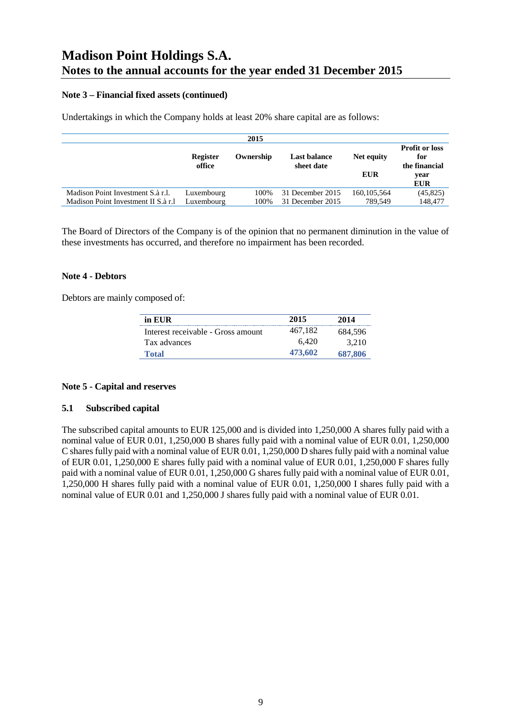#### **Note 3 – Financial fixed assets (continued)**

Undertakings in which the Company holds at least 20% share capital are as follows:

|                                                                          |                          | 2015         |                                      |                          |                                                                     |
|--------------------------------------------------------------------------|--------------------------|--------------|--------------------------------------|--------------------------|---------------------------------------------------------------------|
|                                                                          | Register<br>office       | Ownership    | Last balance<br>sheet date           | Net equity<br><b>EUR</b> | <b>Profit or loss</b><br>for<br>the financial<br>year<br><b>EUR</b> |
| Madison Point Investment S.à r.l.<br>Madison Point Investment II S.à r.l | Luxembourg<br>Luxembourg | 100%<br>100% | 31 December 2015<br>31 December 2015 | 160, 105, 564<br>789.549 | (45, 825)<br>148,477                                                |

The Board of Directors of the Company is of the opinion that no permanent diminution in the value of these investments has occurred, and therefore no impairment has been recorded.

#### **Note 4 - Debtors**

Debtors are mainly composed of:

| in EUR                             | 2015    | 2014    |
|------------------------------------|---------|---------|
| Interest receivable - Gross amount | 467.182 | 684.596 |
| Tax advances                       | 6.420   | 3.210   |
| <b>Total</b>                       | 473.602 | 687,806 |

#### **Note 5 - Capital and reserves**

#### **5.1 Subscribed capital**

The subscribed capital amounts to EUR 125,000 and is divided into 1,250,000 A shares fully paid with a nominal value of EUR 0.01, 1,250,000 B shares fully paid with a nominal value of EUR 0.01, 1,250,000 C shares fully paid with a nominal value of EUR 0.01, 1,250,000 D shares fully paid with a nominal value of EUR 0.01, 1,250,000 E shares fully paid with a nominal value of EUR 0.01, 1,250,000 F shares fully paid with a nominal value of EUR 0.01, 1,250,000 G shares fully paid with a nominal value of EUR 0.01, 1,250,000 H shares fully paid with a nominal value of EUR 0.01, 1,250,000 I shares fully paid with a nominal value of EUR 0.01 and 1,250,000 J shares fully paid with a nominal value of EUR 0.01.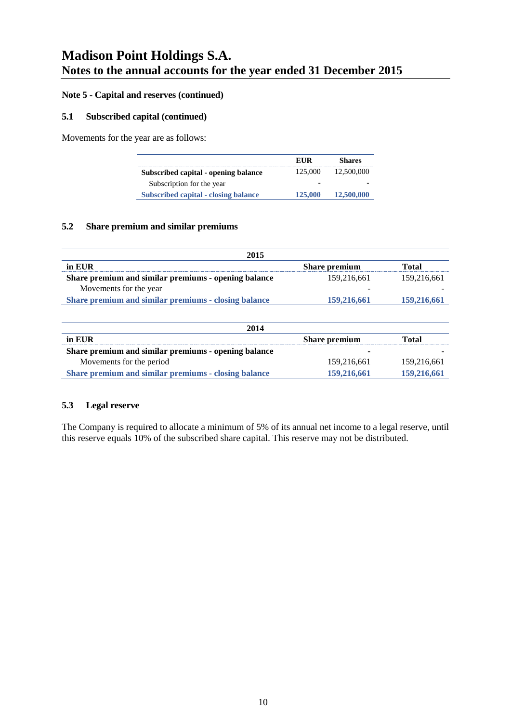#### **Note 5 - Capital and reserves (continued)**

#### **5.1 Subscribed capital (continued)**

Movements for the year are as follows:

|                                             | EUR     | <b>Shares</b> |
|---------------------------------------------|---------|---------------|
| Subscribed capital - opening balance        | 125,000 | 12,500,000    |
| Subscription for the year                   |         |               |
| <b>Subscribed capital - closing balance</b> | 125,000 | 12,500,000    |

#### **5.2 Share premium and similar premiums**

| 2015                                                 |                      |             |
|------------------------------------------------------|----------------------|-------------|
| in EUR                                               | <b>Share premium</b> | Total       |
| Share premium and similar premiums - opening balance | 159.216.661          | 159,216,661 |
| Movements for the year                               |                      |             |
| Share premium and similar premiums - closing balance | 159,216,661          | 159,216,661 |
|                                                      |                      |             |

| 2014                                                 |                      |             |  |
|------------------------------------------------------|----------------------|-------------|--|
| in EUR                                               | <b>Share premium</b> | Total       |  |
| Share premium and similar premiums - opening balance |                      |             |  |
| Movements for the period                             | 159,216,661          | 159,216,661 |  |
| Share premium and similar premiums - closing balance | 159,216,661          | 159,216,661 |  |

#### **5.3 Legal reserve**

The Company is required to allocate a minimum of 5% of its annual net income to a legal reserve, until this reserve equals 10% of the subscribed share capital. This reserve may not be distributed.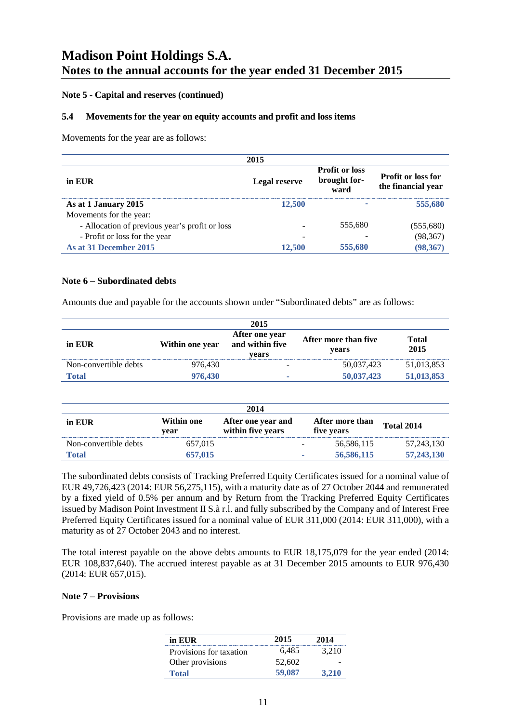#### **Note 5 - Capital and reserves (continued)**

#### **5.4 Movements for the year on equity accounts and profit and loss items**

Movements for the year are as follows:

|                                                | 2015                 |                                               |                                                 |
|------------------------------------------------|----------------------|-----------------------------------------------|-------------------------------------------------|
| in EUR                                         | <b>Legal reserve</b> | <b>Profit or loss</b><br>brought for-<br>ward | <b>Profit or loss for</b><br>the financial year |
| As at 1 January 2015                           | 12,500               |                                               | 555,680                                         |
| Movements for the year:                        |                      |                                               |                                                 |
| - Allocation of previous year's profit or loss |                      | 555,680                                       | (555,680)                                       |
| - Profit or loss for the year                  | -                    |                                               | (98, 367)                                       |
| As at 31 December 2015                         | 12,500               | 555,680                                       | (98, 367)                                       |

#### **Note 6 – Subordinated debts**

Amounts due and payable for the accounts shown under "Subordinated debts" are as follows:

| 2015                  |                 |                                            |                               |               |  |
|-----------------------|-----------------|--------------------------------------------|-------------------------------|---------------|--|
| in EUR                | Within one year | After one year<br>and within five<br>vears | After more than five<br>vears | Total<br>2015 |  |
| Non-convertible debts | 976,430         | -                                          | 50,037,423                    | 51,013,853    |  |
| <b>Total</b>          | 976,430         |                                            | 50,037,423                    | 51,013,853    |  |

| 2014                  |                    |                                         |   |                               |                   |
|-----------------------|--------------------|-----------------------------------------|---|-------------------------------|-------------------|
| in EUR                | Within one<br>vear | After one year and<br>within five years |   | After more than<br>five years | <b>Total 2014</b> |
| Non-convertible debts | 657.015            |                                         |   | 56,586,115                    | 57, 243, 130      |
| Total                 | 657.015            |                                         | ٠ | 56,586,115                    | 57,243,130        |

The subordinated debts consists of Tracking Preferred Equity Certificates issued for a nominal value of EUR 49,726,423 (2014: EUR 56,275,115), with a maturity date as of 27 October 2044 and remunerated by a fixed yield of 0.5% per annum and by Return from the Tracking Preferred Equity Certificates issued by Madison Point Investment II S.à r.l. and fully subscribed by the Company and of Interest Free Preferred Equity Certificates issued for a nominal value of EUR 311,000 (2014: EUR 311,000), with a maturity as of 27 October 2043 and no interest.

The total interest payable on the above debts amounts to EUR 18,175,079 for the year ended (2014: EUR 108,837,640). The accrued interest payable as at 31 December 2015 amounts to EUR 976,430 (2014: EUR 657,015).

#### **Note 7 – Provisions**

Provisions are made up as follows:

| in EUR                  | 2015   | 2014  |
|-------------------------|--------|-------|
| Provisions for taxation | 6,485  | 3.210 |
| Other provisions        | 52,602 |       |
| <b>Total</b>            | 59,087 | 3,210 |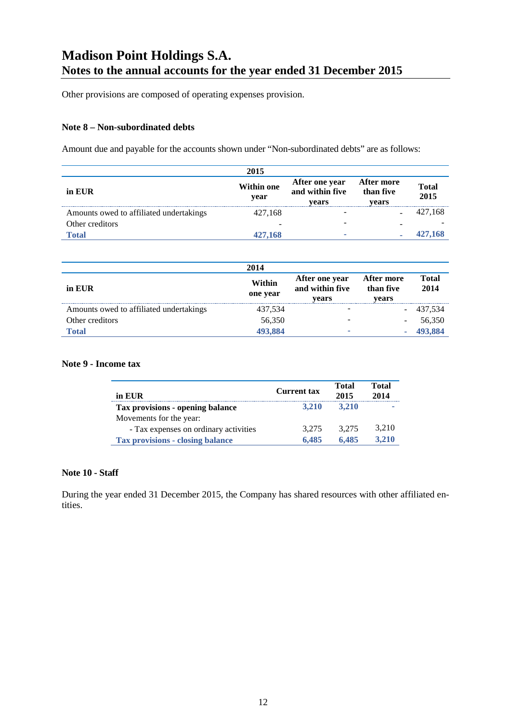Other provisions are composed of operating expenses provision.

#### **Note 8 – Non-subordinated debts**

Amount due and payable for the accounts shown under "Non-subordinated debts" are as follows:

|                                         | 2015                      |                                            |                                  |                      |
|-----------------------------------------|---------------------------|--------------------------------------------|----------------------------------|----------------------|
| in EUR                                  | <b>Within one</b><br>year | After one year<br>and within five<br>vears | After more<br>than five<br>vears | <b>Total</b><br>2015 |
| Amounts owed to affiliated undertakings | 427,168                   |                                            |                                  | 427,168              |
| Other creditors                         |                           |                                            |                                  |                      |
| Total                                   | 427,168                   |                                            |                                  | 427,168              |

|                                         | 2014               |                                            |                                  |                      |
|-----------------------------------------|--------------------|--------------------------------------------|----------------------------------|----------------------|
| in EUR                                  | Within<br>one year | After one year<br>and within five<br>vears | After more<br>than five<br>vears | <b>Total</b><br>2014 |
| Amounts owed to affiliated undertakings | 437,534            |                                            |                                  | 437,534              |
| Other creditors                         | 56,350             |                                            |                                  | 56,350               |
| Total                                   | 493,884            |                                            |                                  | 493.884              |

#### **Note 9 - Income tax**

| in EUR                                  | <b>Current tax</b> | Total<br>2015 | Total<br>2014 |
|-----------------------------------------|--------------------|---------------|---------------|
| Tax provisions - opening balance        | 3.210              | 3.210         |               |
| Movements for the year:                 |                    |               |               |
| - Tax expenses on ordinary activities   | 3.275              | 3.275         | 3.210         |
| <b>Tax provisions - closing balance</b> | 6.485              | 6.485         | 3.210         |

#### **Note 10 - Staff**

During the year ended 31 December 2015, the Company has shared resources with other affiliated entities.